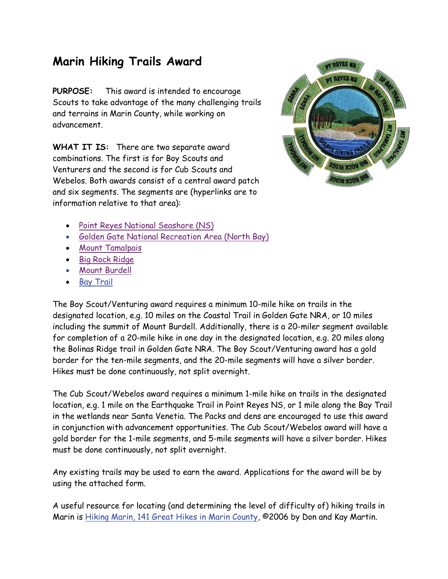## **Marin Hiking Trails Award**

**PURPOSE:** This award is intended to encourage Scouts to take advantage of the many challenging trails and terrains in Marin County, while working on advancement.

**WHAT IT IS:** There are two separate award combinations. The first is for Boy Scouts and Venturers and the second is for Cub Scouts and Webelos. Both awards consist of a central award patch and six segments. The segments are (hyperlinks are to inf[ormation relative to that area\):](http://www.nps.gov/pore/planyourvisit/hiking_guide.htm)



- [Point Reyes National Seashore \(NS\)](http://www.bahiker.com/northbayhikes/ggnra.html)
- [Golden Gate N](http://www.mttam.net/Default.aspx?tabid=36)ational Recreation Area (North Bay)
- [Mount Tama](http://www.bahiker.com/northbayhikes/ignacio.html)lpais
- [Big Rock Ridge](http://www.co.marin.ca.us/depts/PK/Main/os/pdf/MtBurdellWeb1.3now.pdf)
- [Mount](http://www.co.marin.ca.us/depts/PK/Main/os/pdf/MtBurdellWeb1.3now.pdf) Burdell
- **Bay Trail**

The Boy Scout/Venturing award requires a minimum 10-mile hike on trails in the designated location, e.g. 10 miles on the Coastal Trail in Golden Gate NRA, or 10 miles including the summit of Mount Burdell. Additionally, there is a 20-miler segment available for completion of a 20-mile hike in one day in the designated location, e.g. 20 miles along the Bolinas Ridge trail in Golden Gate NRA. The Boy Scout/Venturing award has a gold border for the ten-mile segments, and the 20-mile segments will have a silver border. Hikes must be done continuously, not split overnight.

The Cub Scout/Webelos award requires a minimum 1-mile hike on trails in the designated location, e.g. 1 mile on the Earthquake Trail in Point Reyes NS, or 1 mile along the Bay Trail in the wetlands near Santa Venetia. The Packs and dens are encouraged to use this award in conjunction with advancement opportunities. The Cub Scout/Webelos award will have a gold border for the 1-mile segments, and 5-mile segments will have a silver border. Hikes must be done continuously, not split overnight.

Any existing trails may be used to earn the award. Applications for the award will be by [using the attached form.](http://www.marintrails.com/hm/3hm-overview.shtml) 

A useful resource for locatin[g \(and determining the level of difficulty of\) hiking trails in](http://www.bahiker.com/northbay.html) Marin is Hiking Marin, 141 Great Hikes in Marin County, ©2006 by Don and Kay Martin.